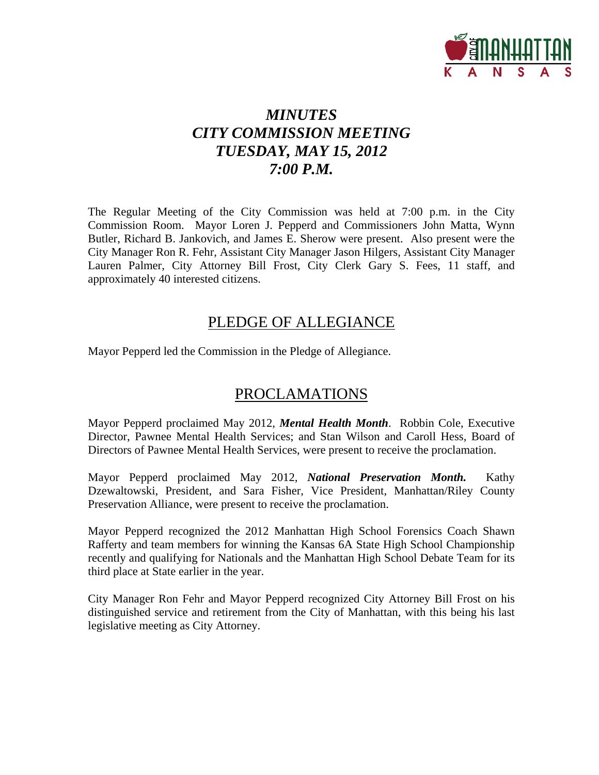

## *MINUTES CITY COMMISSION MEETING TUESDAY, MAY 15, 2012 7:00 P.M.*

The Regular Meeting of the City Commission was held at 7:00 p.m. in the City Commission Room. Mayor Loren J. Pepperd and Commissioners John Matta, Wynn Butler, Richard B. Jankovich, and James E. Sherow were present. Also present were the City Manager Ron R. Fehr, Assistant City Manager Jason Hilgers, Assistant City Manager Lauren Palmer, City Attorney Bill Frost, City Clerk Gary S. Fees, 11 staff, and approximately 40 interested citizens.

## PLEDGE OF ALLEGIANCE

Mayor Pepperd led the Commission in the Pledge of Allegiance.

## PROCLAMATIONS

Mayor Pepperd proclaimed May 2012, *Mental Health Month*. Robbin Cole, Executive Director, Pawnee Mental Health Services; and Stan Wilson and Caroll Hess, Board of Directors of Pawnee Mental Health Services, were present to receive the proclamation.

Mayor Pepperd proclaimed May 2012, *National Preservation Month.* Kathy Dzewaltowski, President, and Sara Fisher, Vice President, Manhattan/Riley County Preservation Alliance, were present to receive the proclamation.

Mayor Pepperd recognized the 2012 Manhattan High School Forensics Coach Shawn Rafferty and team members for winning the Kansas 6A State High School Championship recently and qualifying for Nationals and the Manhattan High School Debate Team for its third place at State earlier in the year.

City Manager Ron Fehr and Mayor Pepperd recognized City Attorney Bill Frost on his distinguished service and retirement from the City of Manhattan, with this being his last legislative meeting as City Attorney.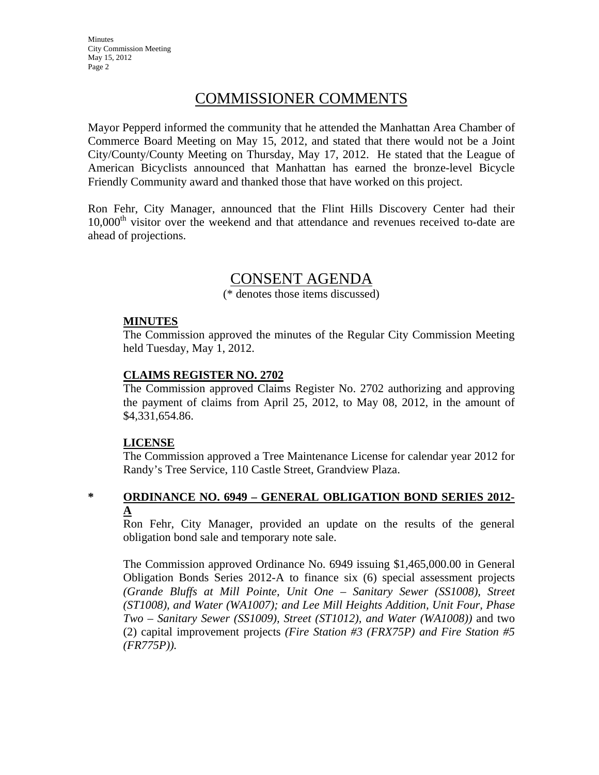**Minutes** City Commission Meeting May 15, 2012 Page 2

## COMMISSIONER COMMENTS

Mayor Pepperd informed the community that he attended the Manhattan Area Chamber of Commerce Board Meeting on May 15, 2012, and stated that there would not be a Joint City/County/County Meeting on Thursday, May 17, 2012. He stated that the League of American Bicyclists announced that Manhattan has earned the bronze-level Bicycle Friendly Community award and thanked those that have worked on this project.

Ron Fehr, City Manager, announced that the Flint Hills Discovery Center had their  $10,000<sup>th</sup>$  visitor over the weekend and that attendance and revenues received to-date are ahead of projections.

# CONSENT AGENDA

(\* denotes those items discussed)

#### **MINUTES**

The Commission approved the minutes of the Regular City Commission Meeting held Tuesday, May 1, 2012.

#### **CLAIMS REGISTER NO. 2702**

The Commission approved Claims Register No. 2702 authorizing and approving the payment of claims from April 25, 2012, to May 08, 2012, in the amount of \$4,331,654.86.

#### **LICENSE**

The Commission approved a Tree Maintenance License for calendar year 2012 for Randy's Tree Service, 110 Castle Street, Grandview Plaza.

### **\* ORDINANCE NO. 6949 – GENERAL OBLIGATION BOND SERIES 2012- A**

Ron Fehr, City Manager, provided an update on the results of the general obligation bond sale and temporary note sale.

The Commission approved Ordinance No. 6949 issuing \$1,465,000.00 in General Obligation Bonds Series 2012-A to finance six (6) special assessment projects *(Grande Bluffs at Mill Pointe, Unit One – Sanitary Sewer (SS1008), Street (ST1008), and Water (WA1007); and Lee Mill Heights Addition, Unit Four, Phase Two – Sanitary Sewer (SS1009), Street (ST1012), and Water (WA1008))* and two (2) capital improvement projects *(Fire Station #3 (FRX75P) and Fire Station #5 (FR775P)).*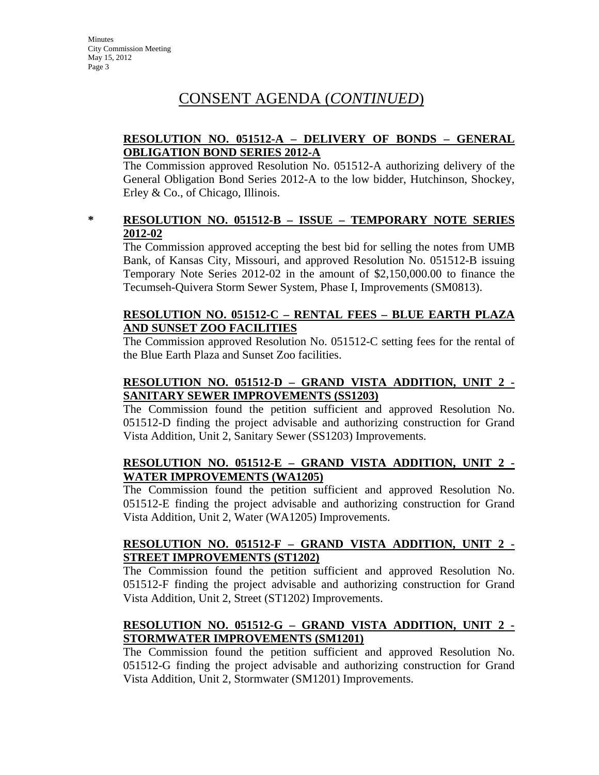## CONSENT AGENDA (*CONTINUED*)

## **RESOLUTION NO. 051512-A – DELIVERY OF BONDS – GENERAL OBLIGATION BOND SERIES 2012-A**

The Commission approved Resolution No. 051512-A authorizing delivery of the General Obligation Bond Series 2012-A to the low bidder, Hutchinson, Shockey, Erley & Co., of Chicago, Illinois.

### **\* RESOLUTION NO. 051512-B – ISSUE – TEMPORARY NOTE SERIES 2012-02**

The Commission approved accepting the best bid for selling the notes from UMB Bank, of Kansas City, Missouri, and approved Resolution No. 051512-B issuing Temporary Note Series 2012-02 in the amount of \$2,150,000.00 to finance the Tecumseh-Quivera Storm Sewer System, Phase I, Improvements (SM0813).

### **RESOLUTION NO. 051512-C – RENTAL FEES – BLUE EARTH PLAZA AND SUNSET ZOO FACILITIES**

The Commission approved Resolution No. 051512-C setting fees for the rental of the Blue Earth Plaza and Sunset Zoo facilities.

## **RESOLUTION NO. 051512-D – GRAND VISTA ADDITION, UNIT 2 - SANITARY SEWER IMPROVEMENTS (SS1203)**

The Commission found the petition sufficient and approved Resolution No. 051512-D finding the project advisable and authorizing construction for Grand Vista Addition, Unit 2, Sanitary Sewer (SS1203) Improvements.

## **RESOLUTION NO. 051512-E – GRAND VISTA ADDITION, UNIT 2 - WATER IMPROVEMENTS (WA1205)**

The Commission found the petition sufficient and approved Resolution No. 051512-E finding the project advisable and authorizing construction for Grand Vista Addition, Unit 2, Water (WA1205) Improvements.

### **RESOLUTION NO. 051512-F – GRAND VISTA ADDITION, UNIT 2 - STREET IMPROVEMENTS (ST1202)**

The Commission found the petition sufficient and approved Resolution No. 051512-F finding the project advisable and authorizing construction for Grand Vista Addition, Unit 2, Street (ST1202) Improvements.

## **RESOLUTION NO. 051512-G – GRAND VISTA ADDITION, UNIT 2 - STORMWATER IMPROVEMENTS (SM1201)**

The Commission found the petition sufficient and approved Resolution No. 051512-G finding the project advisable and authorizing construction for Grand Vista Addition, Unit 2, Stormwater (SM1201) Improvements.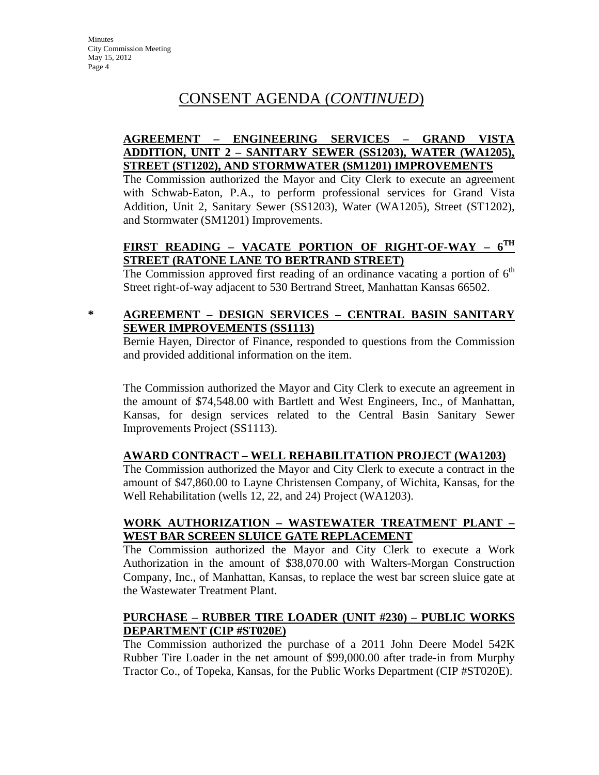## CONSENT AGENDA (*CONTINUED*)

## **AGREEMENT – ENGINEERING SERVICES – GRAND VISTA ADDITION, UNIT 2 – SANITARY SEWER (SS1203), WATER (WA1205), STREET (ST1202), AND STORMWATER (SM1201) IMPROVEMENTS**

The Commission authorized the Mayor and City Clerk to execute an agreement with Schwab-Eaton, P.A., to perform professional services for Grand Vista Addition, Unit 2, Sanitary Sewer (SS1203), Water (WA1205), Street (ST1202), and Stormwater (SM1201) Improvements.

## **FIRST READING – VACATE PORTION OF RIGHT-OF-WAY – 6TH STREET (RATONE LANE TO BERTRAND STREET)**

The Commission approved first reading of an ordinance vacating a portion of  $6<sup>th</sup>$ Street right-of-way adjacent to 530 Bertrand Street, Manhattan Kansas 66502.

## **\* AGREEMENT – DESIGN SERVICES – CENTRAL BASIN SANITARY SEWER IMPROVEMENTS (SS1113)**

Bernie Hayen, Director of Finance, responded to questions from the Commission and provided additional information on the item.

The Commission authorized the Mayor and City Clerk to execute an agreement in the amount of \$74,548.00 with Bartlett and West Engineers, Inc., of Manhattan, Kansas, for design services related to the Central Basin Sanitary Sewer Improvements Project (SS1113).

## **AWARD CONTRACT – WELL REHABILITATION PROJECT (WA1203)**

The Commission authorized the Mayor and City Clerk to execute a contract in the amount of \$47,860.00 to Layne Christensen Company, of Wichita, Kansas, for the Well Rehabilitation (wells 12, 22, and 24) Project (WA1203).

### **WORK AUTHORIZATION – WASTEWATER TREATMENT PLANT – WEST BAR SCREEN SLUICE GATE REPLACEMENT**

The Commission authorized the Mayor and City Clerk to execute a Work Authorization in the amount of \$38,070.00 with Walters-Morgan Construction Company, Inc., of Manhattan, Kansas, to replace the west bar screen sluice gate at the Wastewater Treatment Plant.

#### **PURCHASE – RUBBER TIRE LOADER (UNIT #230) – PUBLIC WORKS DEPARTMENT (CIP #ST020E)**

The Commission authorized the purchase of a 2011 John Deere Model 542K Rubber Tire Loader in the net amount of \$99,000.00 after trade-in from Murphy Tractor Co., of Topeka, Kansas, for the Public Works Department (CIP #ST020E).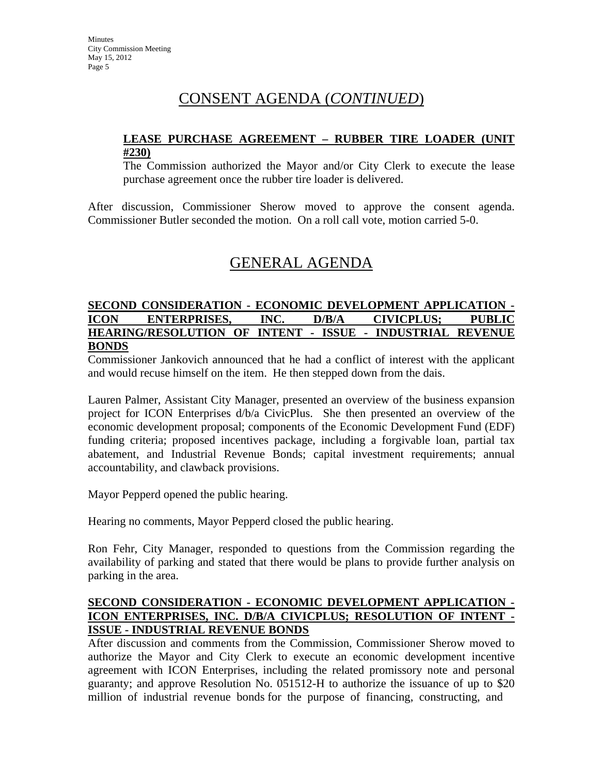## CONSENT AGENDA (*CONTINUED*)

#### **LEASE PURCHASE AGREEMENT – RUBBER TIRE LOADER (UNIT #230)**

The Commission authorized the Mayor and/or City Clerk to execute the lease purchase agreement once the rubber tire loader is delivered.

After discussion, Commissioner Sherow moved to approve the consent agenda. Commissioner Butler seconded the motion. On a roll call vote, motion carried 5-0.

## GENERAL AGENDA

### **SECOND CONSIDERATION - ECONOMIC DEVELOPMENT APPLICATION - ICON ENTERPRISES, INC. D/B/A CIVICPLUS; PUBLIC HEARING/RESOLUTION OF INTENT - ISSUE - INDUSTRIAL REVENUE BONDS**

Commissioner Jankovich announced that he had a conflict of interest with the applicant and would recuse himself on the item. He then stepped down from the dais.

Lauren Palmer, Assistant City Manager, presented an overview of the business expansion project for ICON Enterprises d/b/a CivicPlus. She then presented an overview of the economic development proposal; components of the Economic Development Fund (EDF) funding criteria; proposed incentives package, including a forgivable loan, partial tax abatement, and Industrial Revenue Bonds; capital investment requirements; annual accountability, and clawback provisions.

Mayor Pepperd opened the public hearing.

Hearing no comments, Mayor Pepperd closed the public hearing.

Ron Fehr, City Manager, responded to questions from the Commission regarding the availability of parking and stated that there would be plans to provide further analysis on parking in the area.

### **SECOND CONSIDERATION - ECONOMIC DEVELOPMENT APPLICATION - ICON ENTERPRISES, INC. D/B/A CIVICPLUS; RESOLUTION OF INTENT - ISSUE - INDUSTRIAL REVENUE BONDS**

After discussion and comments from the Commission, Commissioner Sherow moved to authorize the Mayor and City Clerk to execute an economic development incentive agreement with ICON Enterprises, including the related promissory note and personal guaranty; and approve Resolution No. 051512-H to authorize the issuance of up to \$20 million of industrial revenue bonds for the purpose of financing, constructing, and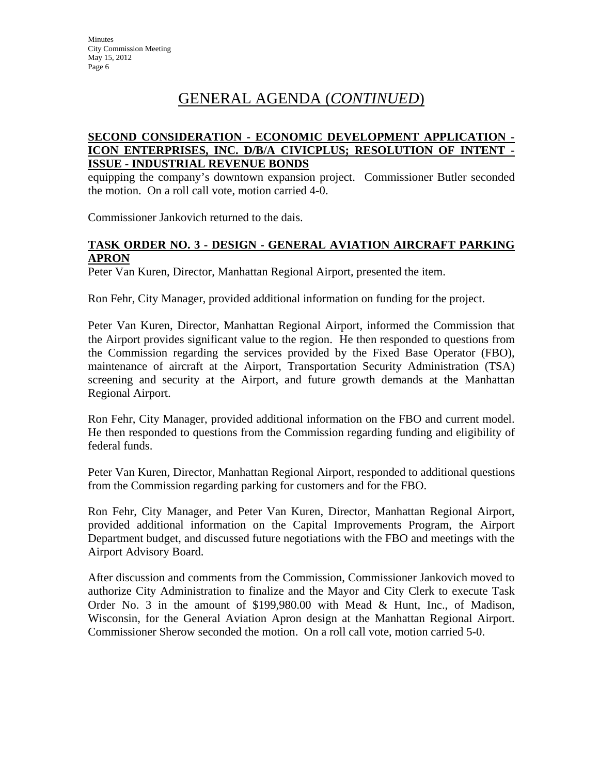## GENERAL AGENDA (*CONTINUED*)

### **SECOND CONSIDERATION - ECONOMIC DEVELOPMENT APPLICATION - ICON ENTERPRISES, INC. D/B/A CIVICPLUS; RESOLUTION OF INTENT - ISSUE - INDUSTRIAL REVENUE BONDS**

equipping the company's downtown expansion project. Commissioner Butler seconded the motion. On a roll call vote, motion carried 4-0.

Commissioner Jankovich returned to the dais.

### **TASK ORDER NO. 3 - DESIGN - GENERAL AVIATION AIRCRAFT PARKING APRON**

Peter Van Kuren, Director, Manhattan Regional Airport, presented the item.

Ron Fehr, City Manager, provided additional information on funding for the project.

Peter Van Kuren, Director, Manhattan Regional Airport, informed the Commission that the Airport provides significant value to the region. He then responded to questions from the Commission regarding the services provided by the Fixed Base Operator (FBO), maintenance of aircraft at the Airport, Transportation Security Administration (TSA) screening and security at the Airport, and future growth demands at the Manhattan Regional Airport.

Ron Fehr, City Manager, provided additional information on the FBO and current model. He then responded to questions from the Commission regarding funding and eligibility of federal funds.

Peter Van Kuren, Director, Manhattan Regional Airport, responded to additional questions from the Commission regarding parking for customers and for the FBO.

Ron Fehr, City Manager, and Peter Van Kuren, Director, Manhattan Regional Airport, provided additional information on the Capital Improvements Program, the Airport Department budget, and discussed future negotiations with the FBO and meetings with the Airport Advisory Board.

After discussion and comments from the Commission, Commissioner Jankovich moved to authorize City Administration to finalize and the Mayor and City Clerk to execute Task Order No. 3 in the amount of \$199,980.00 with Mead & Hunt, Inc., of Madison, Wisconsin, for the General Aviation Apron design at the Manhattan Regional Airport. Commissioner Sherow seconded the motion. On a roll call vote, motion carried 5-0.